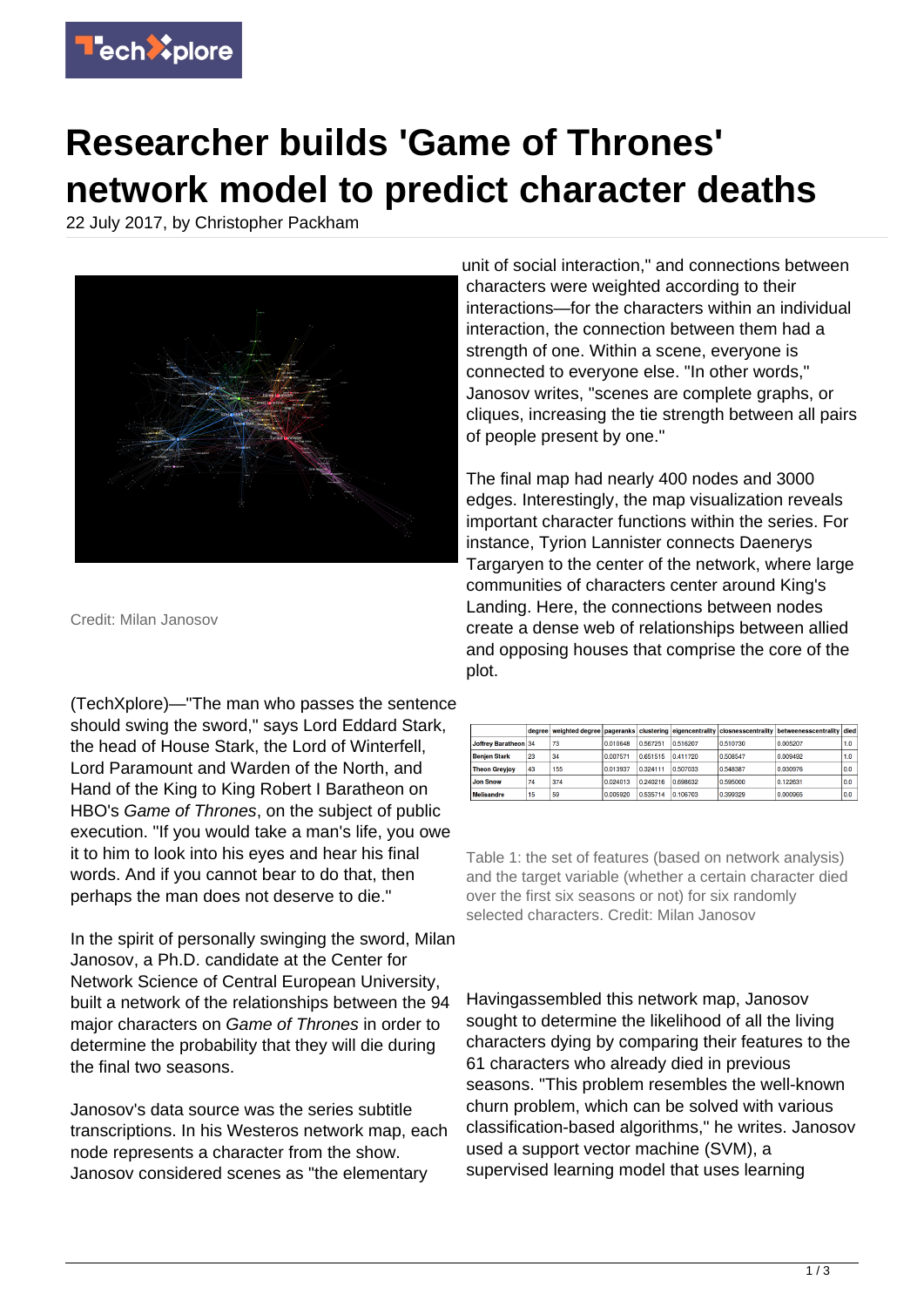

## **Researcher builds 'Game of Thrones' network model to predict character deaths**

22 July 2017, by Christopher Packham



Credit: Milan Janosov

(TechXplore)—"The man who passes the sentence should swing the sword," says Lord Eddard Stark, the head of House Stark, the Lord of Winterfell, Lord Paramount and Warden of the North, and Hand of the King to King Robert I Baratheon on HBO's Game of Thrones, on the subject of public execution. "If you would take a man's life, you owe it to him to look into his eyes and hear his final words. And if you cannot bear to do that, then perhaps the man does not deserve to die."

In the spirit of personally swinging the sword, Milan Janosov, a Ph.D. candidate at the Center for Network Science of Central European University, built a network of the relationships between the 94 major characters on Game of Thrones in order to determine the probability that they will die during the final two seasons.

Janosov's data source was the series subtitle transcriptions. In his Westeros network map, each node represents a character from the show. Janosov considered scenes as "the elementary

unit of social interaction," and connections between characters were weighted according to their interactions—for the characters within an individual interaction, the connection between them had a strength of one. Within a scene, everyone is connected to everyone else. "In other words," Janosov writes, "scenes are complete graphs, or cliques, increasing the tie strength between all pairs of people present by one."

The final map had nearly 400 nodes and 3000 edges. Interestingly, the map visualization reveals important character functions within the series. For instance, Tyrion Lannister connects Daenerys Targaryen to the center of the network, where large communities of characters center around King's Landing. Here, the connections between nodes create a dense web of relationships between allied and opposing houses that comprise the core of the plot.

|                      |    |     |          |          |          |          | degree weighted degree pageranks clustering eigencentrality closnesscentrality betweenesscentrality died |                  |
|----------------------|----|-----|----------|----------|----------|----------|----------------------------------------------------------------------------------------------------------|------------------|
| Joffrey Baratheon 34 |    | 73  | 0.010648 | 0.567251 | 0.516207 | 0.510730 | 0.005207                                                                                                 | 1.0 <sub>1</sub> |
| <b>Benien Stark</b>  | 23 | 34  | 0.007571 | 0.651515 | 0.411720 | 0.508547 | 0.009492                                                                                                 | 1.0 <sub>1</sub> |
| <b>Theon Greyjoy</b> | 43 | 155 | 0.013937 | 0.324111 | 0.507033 | 0.548387 | 0.030976                                                                                                 | 0.0              |
| <b>Jon Snow</b>      | 74 | 374 | 0.024013 | 0.240216 | 0.698632 | 0.595000 | 0.122631                                                                                                 | 0.0              |
| <b>Melisandre</b>    | 15 | 59  | 0.005920 | 0.535714 | 0.106703 | 0.399329 | 0.000965                                                                                                 | 0.0              |

Table 1: the set of features (based on network analysis) and the target variable (whether a certain character died over the first six seasons or not) for six randomly selected characters. Credit: Milan Janosov

Havingassembled this network map, Janosov sought to determine the likelihood of all the living characters dying by comparing their features to the 61 characters who already died in previous seasons. "This problem resembles the well-known churn problem, which can be solved with various classification-based algorithms," he writes. Janosov used a support vector machine (SVM), a supervised learning model that uses learning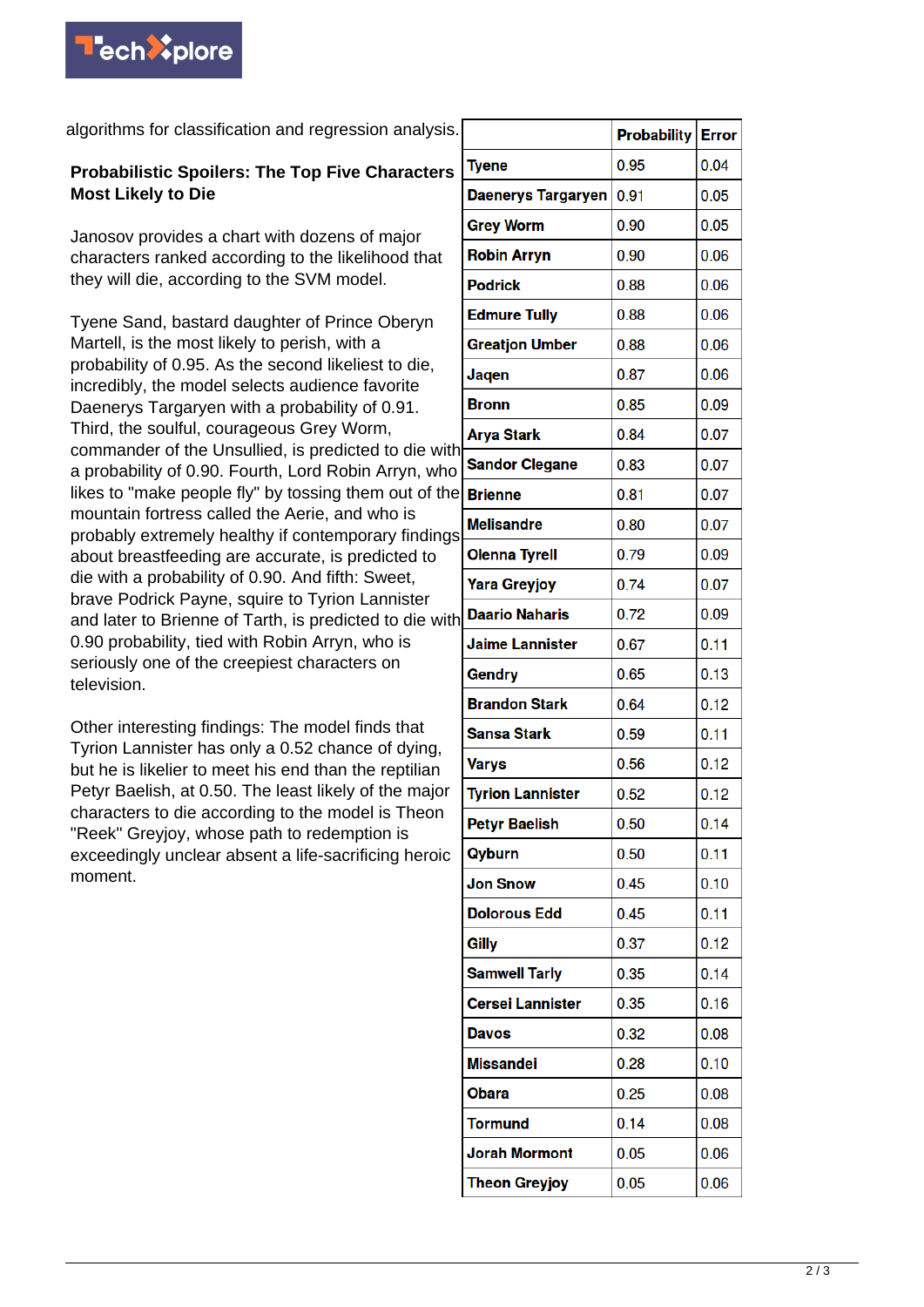

algorithms for classification and regression analysis.

## **Probabilistic Spoilers: The Top Five Characters Most Likely to Die**

Janosov provides a chart with dozens of major characters ranked according to the likelihood that they will die, according to the SVM model.

Tyene Sand, bastard daughter of Prince Oberyn Martell, is the most likely to perish, with a probability of 0.95. As the second likeliest to die, incredibly, the model selects audience favorite Daenerys Targaryen with a probability of 0.91. Third, the soulful, courageous Grey Worm, commander of the Unsullied, is predicted to die with a probability of 0.90. Fourth, Lord Robin Arryn, who likes to "make people fly" by tossing them out of the mountain fortress called the Aerie, and who is probably extremely healthy if contemporary findings about breastfeeding are accurate, is predicted to die with a probability of 0.90. And fifth: Sweet, brave Podrick Payne, squire to Tyrion Lannister and later to Brienne of Tarth, is predicted to die with 0.90 probability, tied with Robin Arryn, who is seriously one of the creepiest characters on television.

Other interesting findings: The model finds that Tyrion Lannister has only a 0.52 chance of dying, but he is likelier to meet his end than the reptilian Petyr Baelish, at 0.50. The least likely of the major characters to die according to the model is Theon "Reek" Greyjoy, whose path to redemption is exceedingly unclear absent a life-sacrificing heroic moment.

|                           | <b>Probability</b> | <b>Error</b> |
|---------------------------|--------------------|--------------|
| <b>Tyene</b>              | 0.95               | 0.04         |
| <b>Daenerys Targaryen</b> | 0.91               | 0.05         |
| <b>Grey Worm</b>          | 0.90               | 0.05         |
| <b>Robin Arryn</b>        | 0.90               | 0.06         |
| <b>Podrick</b>            | 0.88               | 0.06         |
| <b>Edmure Tully</b>       | 0.88               | 0.06         |
| <b>Greatjon Umber</b>     | 0.88               | 0.06         |
| Jaqen                     | 0.87               | 0.06         |
| <b>Bronn</b>              | 0.85               | 0.09         |
| <b>Arya Stark</b>         | 0.84               | 0.07         |
| <b>Sandor Clegane</b>     | 0.83               | 0.07         |
| <b>Brienne</b>            | 0.81               | 0.07         |
| <b>Melisandre</b>         | 0.80               | 0.07         |
| <b>Olenna Tyrell</b>      | 0.79               | 0.09         |
| <b>Yara Greyjoy</b>       | 0.74               | 0.07         |
| <b>Daario Naharis</b>     | 0.72               | 0.09         |
| <b>Jaime Lannister</b>    | 0.67               | 0.11         |
| Gendry                    | 0.65               | 0.13         |
| <b>Brandon Stark</b>      | 0.64               | 0.12         |
| Sansa Stark               | 0.59               | 0.11         |
| Varys                     | 0.56               | 0.12         |
| <b>Tyrion Lannister</b>   | 0.52               | 0.12         |
| <b>Petyr Baelish</b>      | 0.50               | 0.14         |
| Qyburn                    | 0.50               | 0.11         |
| <b>Jon Snow</b>           | 0.45               | 0.10         |
| <b>Dolorous Edd</b>       | 0.45               | 0.11         |
| Gilly                     | 0.37               | 0.12         |
| <b>Samwell Tarly</b>      | 0.35               | 0.14         |
| <b>Cersei Lannister</b>   | 0.35               | 0.16         |
| <b>Davos</b>              | 0.32               | 0.08         |
| <b>Missandei</b>          | 0.28               | 0.10         |
| Obara                     | 0.25               | 0.08         |
| Tormund                   | 0.14               | 0.08         |
| <b>Jorah Mormont</b>      | 0.05               | 0.06         |
| <b>Theon Greyjoy</b>      | 0.05               | 0.06         |